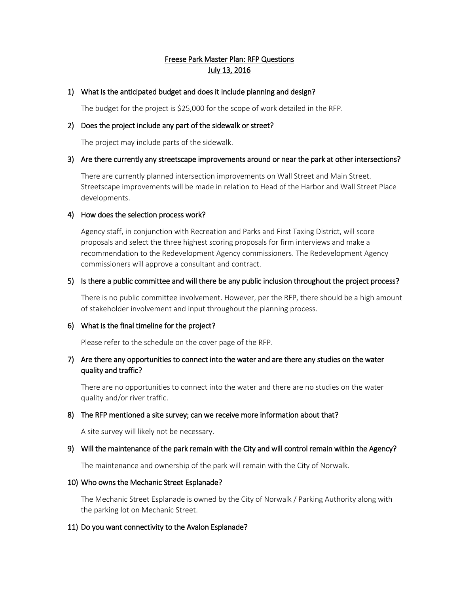# Freese Park Master Plan: RFP Questions July 13, 2016

# 1) What is the anticipated budget and does it include planning and design?

The budget for the project is \$25,000 for the scope of work detailed in the RFP.

### 2) Does the project include any part of the sidewalk or street?

The project may include parts of the sidewalk.

#### 3) Are there currently any streetscape improvements around or near the park at other intersections?

There are currently planned intersection improvements on Wall Street and Main Street. Streetscape improvements will be made in relation to Head of the Harbor and Wall Street Place developments.

# 4) How does the selection process work?

Agency staff, in conjunction with Recreation and Parks and First Taxing District, will score proposals and select the three highest scoring proposals for firm interviews and make a recommendation to the Redevelopment Agency commissioners. The Redevelopment Agency commissioners will approve a consultant and contract.

# 5) Is there a public committee and will there be any public inclusion throughout the project process?

There is no public committee involvement. However, per the RFP, there should be a high amount of stakeholder involvement and input throughout the planning process.

# 6) What is the final timeline for the project?

Please refer to the schedule on the cover page of the RFP.

# 7) Are there any opportunities to connect into the water and are there any studies on the water quality and traffic?

There are no opportunities to connect into the water and there are no studies on the water quality and/or river traffic.

# 8) The RFP mentioned a site survey; can we receive more information about that?

A site survey will likely not be necessary.

#### 9) Will the maintenance of the park remain with the City and will control remain within the Agency?

The maintenance and ownership of the park will remain with the City of Norwalk.

#### 10) Who owns the Mechanic Street Esplanade?

The Mechanic Street Esplanade is owned by the City of Norwalk / Parking Authority along with the parking lot on Mechanic Street.

# 11) Do you want connectivity to the Avalon Esplanade?